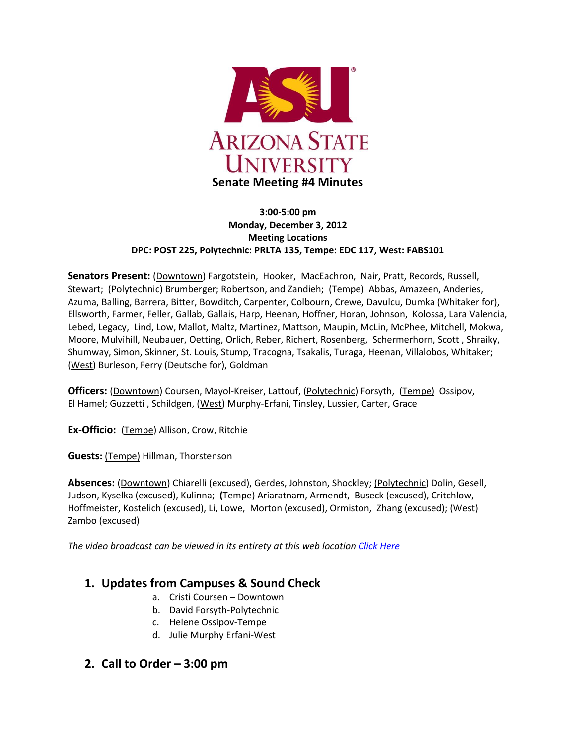

#### **3:00-5:00 pm Monday, December 3, 2012 Meeting Locations DPC: POST 225, Polytechnic: PRLTA 135, Tempe: EDC 117, West: FABS101**

Senators Present: (Downtown) Fargotstein, Hooker, MacEachron, Nair, Pratt, Records, Russell, Stewart; (Polytechnic) Brumberger; Robertson, and Zandieh; (Tempe) Abbas, Amazeen, Anderies, Azuma, Balling, Barrera, Bitter, Bowditch, Carpenter, Colbourn, Crewe, Davulcu, Dumka (Whitaker for), Ellsworth, Farmer, Feller, Gallab, Gallais, Harp, Heenan, Hoffner, Horan, Johnson, Kolossa, Lara Valencia, Lebed, Legacy, Lind, Low, Mallot, Maltz, Martinez, Mattson, Maupin, McLin, McPhee, Mitchell, Mokwa, Moore, Mulvihill, Neubauer, Oetting, Orlich, Reber, Richert, Rosenberg, Schermerhorn, Scott , Shraiky, Shumway, Simon, Skinner, St. Louis, Stump, Tracogna, Tsakalis, Turaga, Heenan, Villalobos, Whitaker; (West) Burleson, Ferry (Deutsche for), Goldman

**Officers:** (Downtown) Coursen, Mayol-Kreiser, Lattouf, (Polytechnic) Forsyth, (Tempe) Ossipov, El Hamel; Guzzetti , Schildgen, (West) Murphy-Erfani, Tinsley, Lussier, Carter, Grace

**Ex-Officio:** (Tempe) Allison, Crow, Ritchie

**Guests:** (Tempe) Hillman, Thorstenson

**Absences:** (Downtown) Chiarelli (excused), Gerdes, Johnston, Shockley; (Polytechnic) Dolin, Gesell, Judson, Kyselka (excused), Kulinna; **(**Tempe) Ariaratnam, Armendt, Buseck (excused), Critchlow, Hoffmeister, Kostelich (excused), Li, Lowe, Morton (excused), Ormiston, Zhang (excused); (West) Zambo (excused)

*The video broadcast can be viewed in its entirety at this web location [Click Here](http://usenate.asu.edu/videos)*

## **1. Updates from Campuses & Sound Check**

- a. Cristi Coursen Downtown
- b. David Forsyth-Polytechnic
- c. Helene Ossipov-Tempe
- d. Julie Murphy Erfani-West

### **2. Call to Order – 3:00 pm**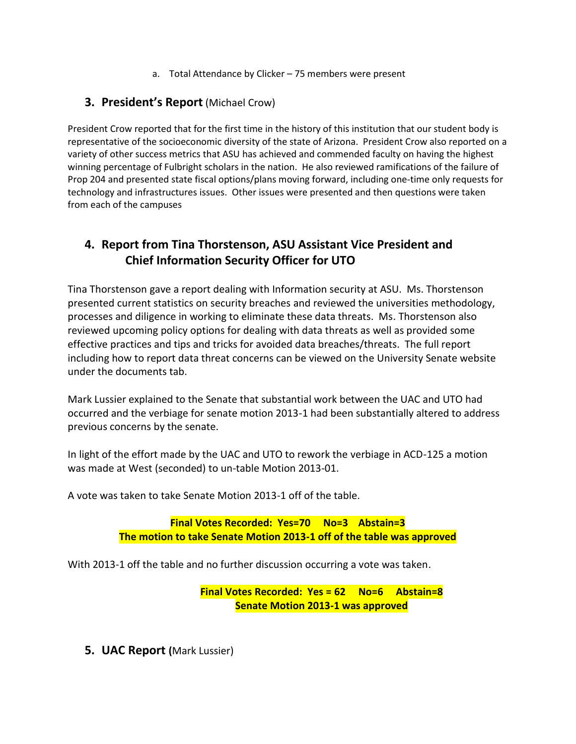a. Total Attendance by Clicker – 75 members were present

# **3. President's Report** (Michael Crow)

President Crow reported that for the first time in the history of this institution that our student body is representative of the socioeconomic diversity of the state of Arizona. President Crow also reported on a variety of other success metrics that ASU has achieved and commended faculty on having the highest winning percentage of Fulbright scholars in the nation. He also reviewed ramifications of the failure of Prop 204 and presented state fiscal options/plans moving forward, including one-time only requests for technology and infrastructures issues. Other issues were presented and then questions were taken from each of the campuses

# **4. Report from Tina Thorstenson, ASU Assistant Vice President and Chief Information Security Officer for UTO**

Tina Thorstenson gave a report dealing with Information security at ASU. Ms. Thorstenson presented current statistics on security breaches and reviewed the universities methodology, processes and diligence in working to eliminate these data threats. Ms. Thorstenson also reviewed upcoming policy options for dealing with data threats as well as provided some effective practices and tips and tricks for avoided data breaches/threats. The full report including how to report data threat concerns can be viewed on the University Senate website under the documents tab.

Mark Lussier explained to the Senate that substantial work between the UAC and UTO had occurred and the verbiage for senate motion 2013-1 had been substantially altered to address previous concerns by the senate.

In light of the effort made by the UAC and UTO to rework the verbiage in ACD-125 a motion was made at West (seconded) to un-table Motion 2013-01.

A vote was taken to take Senate Motion 2013-1 off of the table.

**Final Votes Recorded: Yes=70 No=3 Abstain=3 The motion to take Senate Motion 2013-1 off of the table was approved**

With 2013-1 off the table and no further discussion occurring a vote was taken.

**Final Votes Recorded: Yes = 62 No=6 Abstain=8 Senate Motion 2013-1 was approved**

**5. UAC Report (**Mark Lussier)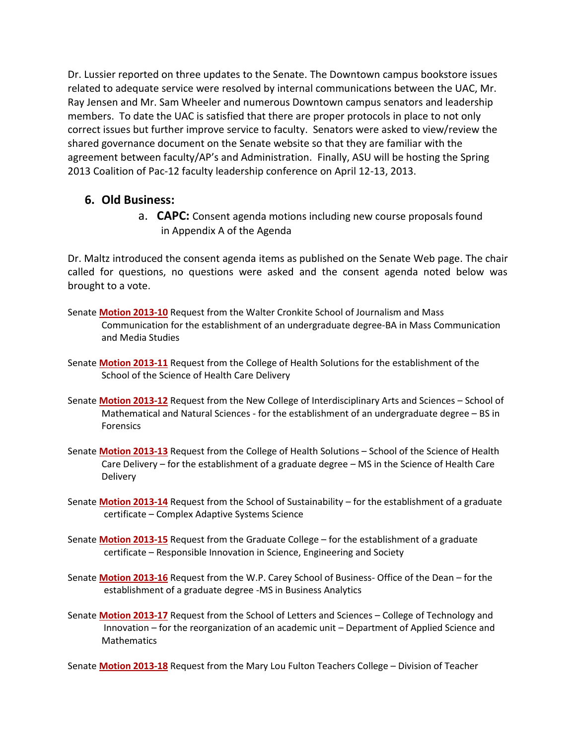Dr. Lussier reported on three updates to the Senate. The Downtown campus bookstore issues related to adequate service were resolved by internal communications between the UAC, Mr. Ray Jensen and Mr. Sam Wheeler and numerous Downtown campus senators and leadership members. To date the UAC is satisfied that there are proper protocols in place to not only correct issues but further improve service to faculty. Senators were asked to view/review the shared governance document on the Senate website so that they are familiar with the agreement between faculty/AP's and Administration. Finally, ASU will be hosting the Spring 2013 Coalition of Pac-12 faculty leadership conference on April 12-13, 2013.

# **6. Old Business:**

a. **CAPC:** Consent agenda motions including new course proposals found in Appendix A of the Agenda

Dr. Maltz introduced the consent agenda items as published on the Senate Web page. The chair called for questions, no questions were asked and the consent agenda noted below was brought to a vote.

- Senate **[Motion 2013-10](http://usenate.asu.edu/node/4439)** Request from the Walter Cronkite School of Journalism and Mass Communication for the establishment of an undergraduate degree-BA in Mass Communication and Media Studies
- Senate **[Motion 2013-11](http://usenate.asu.edu/node/4440)** Request from the College of Health Solutions for the establishment of the School of the Science of Health Care Delivery
- Senate **[Motion 2013-12](http://usenate.asu.edu/node/4441)** Request from the New College of Interdisciplinary Arts and Sciences School of Mathematical and Natural Sciences - for the establishment of an undergraduate degree – BS in Forensics
- Senate **[Motion 2013-13](http://usenate.asu.edu/node/4442)** Request from the College of Health Solutions School of the Science of Health Care Delivery – for the establishment of a graduate degree – MS in the Science of Health Care **Delivery**
- Senate **[Motion 2013-14](http://usenate.asu.edu/node/4443)** Request from the School of Sustainability for the establishment of a graduate certificate – Complex Adaptive Systems Science
- Senate **[Motion 2013-15](http://usenate.asu.edu/node/4444)** Request from the Graduate College for the establishment of a graduate certificate – Responsible Innovation in Science, Engineering and Society
- Senate **[Motion 2013-16](http://usenate.asu.edu/node/4445)** Request from the W.P. Carey School of Business- Office of the Dean for the establishment of a graduate degree -MS in Business Analytics
- Senate **[Motion 2013-17](http://usenate.asu.edu/node/4446)** Request from the School of Letters and Sciences College of Technology and Innovation – for the reorganization of an academic unit – Department of Applied Science and **Mathematics**

Senate **[Motion 2013-18](http://usenate.asu.edu/node/4447)** Request from the Mary Lou Fulton Teachers College – Division of Teacher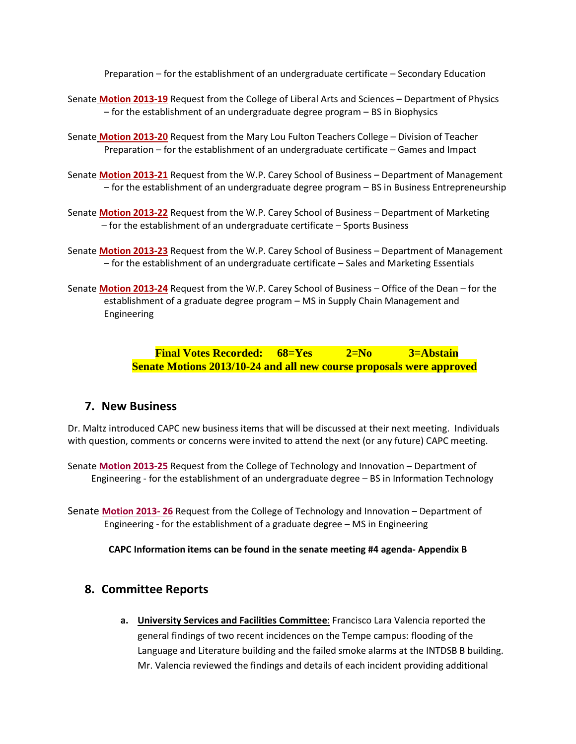Preparation – for the establishment of an undergraduate certificate – Secondary Education

- Senate **[Motion 2013-19](http://usenate.asu.edu/node/4448)** Request from the College of Liberal Arts and Sciences Department of Physics – for the establishment of an undergraduate degree program – BS in Biophysics
- Senate **[Motion 2013-20](http://usenate.asu.edu/node/4449)** Request from the Mary Lou Fulton Teachers College Division of Teacher Preparation – for the establishment of an undergraduate certificate – Games and Impact
- Senate **[Motion 2013-21](http://usenate.asu.edu/node/4450)** Request from the W.P. Carey School of Business Department of Management – for the establishment of an undergraduate degree program – BS in Business Entrepreneurship
- Senate **[Motion 2013-22](http://usenate.asu.edu/node/4453)** Request from the W.P. Carey School of Business Department of Marketing – for the establishment of an undergraduate certificate – Sports Business
- Senate **[Motion 2013-23](http://usenate.asu.edu/node/4454)** Request from the W.P. Carey School of Business Department of Management – for the establishment of an undergraduate certificate – Sales and Marketing Essentials
- Senate **[Motion 2013-24](http://usenate.asu.edu/node/4455)** Request from the W.P. Carey School of Business Office of the Dean for the establishment of a graduate degree program – MS in Supply Chain Management and Engineering

**Final Votes Recorded: 68=Yes 2=No 3=Abstain Senate Motions 2013/10-24 and all new course proposals were approved**

### **7. New Business**

Dr. Maltz introduced CAPC new business items that will be discussed at their next meeting. Individuals with question, comments or concerns were invited to attend the next (or any future) CAPC meeting.

Senate **[Motion 2013-25](http://usenate.asu.edu/node/4460)** Request from the College of Technology and Innovation – Department of Engineering - for the establishment of an undergraduate degree – BS in Information Technology

Senate **[Motion 2013-](http://usenate.asu.edu/node/4461) 26** Request from the College of Technology and Innovation – Department of Engineering - for the establishment of a graduate degree – MS in Engineering

**CAPC Information items can be found in the senate meeting #4 agenda- Appendix B**

### **8. Committee Reports**

**a. University Services and Facilities Committee**: Francisco Lara Valencia reported the general findings of two recent incidences on the Tempe campus: flooding of the Language and Literature building and the failed smoke alarms at the INTDSB B building. Mr. Valencia reviewed the findings and details of each incident providing additional